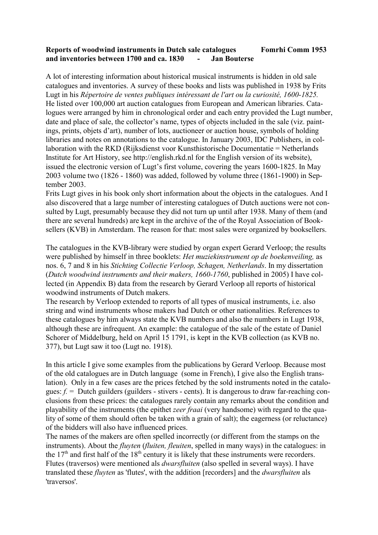## **Reports of woodwind instruments in Dutch sale catalogues Fomrhi Comm 1953 and inventories between 1700 and ca. 1830 - Jan Bouterse**

A lot of interesting information about historical musical instruments is hidden in old sale catalogues and inventories. A survey of these books and lists was published in 1938 by Frits Lugt in his *Répertoire de ventes publiques intéressant de l'art ou la curiosité, 1600-1825.*  He listed over 100,000 art auction catalogues from European and American libraries. Catalogues were arranged by him in chronological order and each entry provided the Lugt number, date and place of sale, the collector's name, types of objects included in the sale (viz. paintings, prints, objets d'art), number of lots, auctioneer or auction house, symbols of holding libraries and notes on annotations to the catalogue. In January 2003, IDC Publishers, in collaboration with the RKD (Rijksdienst voor Kunsthistorische Documentatie = Netherlands Institute for Art History, see http://english.rkd.nl for the English version of its website), issued the electronic version of Lugt's first volume, covering the years 1600-1825. In May 2003 volume two (1826 - 1860) was added, followed by volume three (1861-1900) in September 2003.

Frits Lugt gives in his book only short information about the objects in the catalogues. And I also discovered that a large number of interesting catalogues of Dutch auctions were not consulted by Lugt, presumably because they did not turn up until after 1938. Many of them (and there are several hundreds) are kept in the archive of the of the Royal Association of Booksellers (KVB) in Amsterdam. The reason for that: most sales were organized by booksellers.

The catalogues in the KVB-library were studied by organ expert Gerard Verloop; the results were published by himself in three booklets: *Het muziekinstrument op de boekenveiling,* as nos. 6, 7 and 8 in his *Stichting Collectie Verloop, Schagen, Netherlands*. In my dissertation (*Dutch woodwind instruments and their makers, 1660-1760*, published in 2005) I have collected (in Appendix B) data from the research by Gerard Verloop all reports of historical woodwind instruments of Dutch makers.

The research by Verloop extended to reports of all types of musical instruments, i.e. also string and wind instruments whose makers had Dutch or other nationalities. References to these catalogues by him always state the KVB numbers and also the numbers in Lugt 1938, although these are infrequent. An example: the catalogue of the sale of the estate of Daniel Schorer of Middelburg, held on April 15 1791, is kept in the KVB collection (as KVB no. 377), but Lugt saw it too (Lugt no. 1918).

In this article I give some examples from the publications by Gerard Verloop. Because most of the old catalogues are in Dutch language (some in French), I give also the English translation). Only in a few cases are the prices fetched by the sold instruments noted in the catalogues:  $f =$  Dutch guilders (guilders - stivers - cents). It is dangerous to draw far-reaching conclusions from these prices: the catalogues rarely contain any remarks about the condition and playability of the instruments (the epithet *zeer fraai* (very handsome) with regard to the quality of some of them should often be taken with a grain of salt); the eagerness (or reluctance) of the bidders will also have influenced prices.

The names of the makers are often spelled incorrectly (or different from the stamps on the instruments). About the *fluyten* (*fluiten, fleuiten*, spelled in many ways) in the catalogues: in the  $17<sup>th</sup>$  and first half of the  $18<sup>th</sup>$  century it is likely that these instruments were recorders. Flutes (traversos) were mentioned als *dwarsfluiten* (also spelled in several ways). I have translated these *fluyten* as 'flutes', with the addition [recorders] and the *dwarsfluiten* als 'traversos'.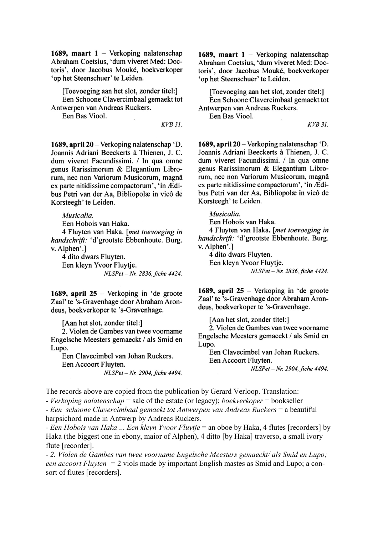1689, maart 1 - Verkoping nalatenschap Abraham Coetsius, 'dum viveret Med: Doctoris', door Jacobus Mouké, boekverkoper 'op het Steenschuer' te Leiden.

[Toevoeging aan het slot, zonder titel:] Een Schoone Clavercimbaal gemaekt tot Antwerpen van Andreas Ruckers.

Een Bas Viool.

**KVB 31.** 

1689, april 20 - Verkoping nalatenschap 'D. Joannis Adriani Beeckerts à Thienen, J. C. dum viveret Facundissimi. / In qua omne genus Rarissimorum & Elegantium Librorum, nec non Variorum Musicorum, magnâ ex parte nitidissime compactorum', 'in Ædibus Petri van der Aa, Bibliopolæ in vicô de Korsteegh' te Leiden.

Musicalia.

Een Hobois van Haka. 4 Fluyten van Haka. [met toevoeging in handschrift: 'd'grootste Ebbenhoute. Burg. v. Alphen'.] 4 dito dwars Fluyten.

Een kleyn Yvoor Fluytje. NLSPet - Nr. 2836, fiche 4424.

1689, april  $25$  – Verkoping in 'de groote Zaal' te 's-Gravenhage door Abraham Arondeus, boekverkoper te 's-Gravenhage.

[Aan het slot, zonder titel:]

2. Violen de Gambes van twee voorname Engelsche Meesters gemaeckt / als Smid en Lupo.

Een Clavecimbel van Johan Ruckers. Een Accoort Fluyten. NLSPet - Nr. 2904. fiche 4494. 1689. maart  $1 -$  Verkoping nalatenschap Abraham Coetsius, 'dum viveret Med: Doctoris', door Jacobus Mouké, boekverkoper 'op het Steenschuer' te Leiden.

[Toevoeging aan het slot, zonder titel:] Een Schoone Clavercimbaal gemaekt tot Antwerpen van Andreas Ruckers.

Een Bas Viool.

**KVB 31.** 

1689. april 20 – Verkoping nalatenschap 'D. Joannis Adriani Beeckerts à Thienen, J. C. dum viveret Facundissimi. / In qua omne genus Rarissimorum & Elegantium Librorum, nec non Variorum Musicorum, magnâ ex parte nitidissime compactorum', 'in Ædibus Petri van der Aa, Bibliopolæ in vicô de Korsteegh' te Leiden.

Musicalia.

Een Hobois van Haka.

4 Fluyten van Haka. [met toevoeging in handschrift: 'd'grootste Ebbenhoute. Burg. v. Alphen'.]

4 dito dwars Fluyten. Een kleyn Yvoor Fluytje.

NLSPet - Nr. 2836, fiche 4424.

1689, april 25 – Verkoping in 'de groote Zaal' te 's-Gravenhage door Abraham Arondeus, boekverkoper te 's-Gravenhage.

[Aan het slot, zonder titel:]

2. Violen de Gambes van twee voorname Engelsche Meesters gemaeckt / als Smid en Lupo.

Een Clavecimbel van Johan Ruckers. Een Accoort Fluyten. NLSPet - Nr. 2904, fiche 4494.

The records above are copied from the publication by Gerard Verloop. Translation:

- Verkoping nalatenschap = sale of the estate (or legacy); boekverkoper = bookseller

- Een schoone Clavercimbaal gemaekt tot Antwerpen van Andreas Ruckers = a beautiful harpsichord made in Antwerp by Andreas Ruckers.

- Een Hobois van Haka ... Een kleyn Yvoor Fluytje = an oboe by Haka, 4 flutes [recorders] by Haka (the biggest one in ebony, maior of Alphen), 4 ditto [by Haka] traverso, a small ivory flute [recorder].

- 2. Violen de Gambes van twee voorname Engelsche Meesters gemaeckt/ als Smid en Lupo; een accoort Fluyten =  $2$  viols made by important English mastes as Smid and Lupo; a consort of flutes [recorders].